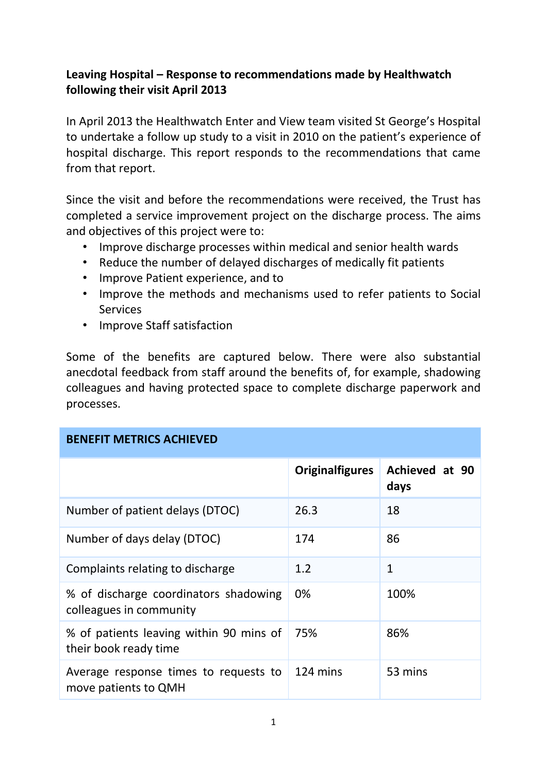## **Leaving Hospital – Response to recommendations made by Healthwatch following their visit April 2013**

In April 2013 the Healthwatch Enter and View team visited St George's Hospital to undertake a follow up study to a visit in 2010 on the patient's experience of hospital discharge. This report responds to the recommendations that came from that report.

Since the visit and before the recommendations were received, the Trust has completed a service improvement project on the discharge process. The aims and objectives of this project were to:

- Improve discharge processes within medical and senior health wards
- Reduce the number of delayed discharges of medically fit patients
- Improve Patient experience, and to
- Improve the methods and mechanisms used to refer patients to Social **Services**
- Improve Staff satisfaction

Some of the benefits are captured below. There were also substantial anecdotal feedback from staff around the benefits of, for example, shadowing colleagues and having protected space to complete discharge paperwork and processes.

| <b>BENEFIT METRICS ACHIEVED</b>                                  |                        |                        |  |  |
|------------------------------------------------------------------|------------------------|------------------------|--|--|
|                                                                  | <b>Originalfigures</b> | Achieved at 90<br>days |  |  |
| Number of patient delays (DTOC)                                  | 26.3                   | 18                     |  |  |
| Number of days delay (DTOC)                                      | 174                    | 86                     |  |  |
| Complaints relating to discharge                                 | 1.2                    | $\mathbf{1}$           |  |  |
| % of discharge coordinators shadowing<br>colleagues in community | $0\%$                  | 100%                   |  |  |
| % of patients leaving within 90 mins of<br>their book ready time | 75%                    | 86%                    |  |  |
| Average response times to requests to<br>move patients to QMH    | 124 mins               | 53 mins                |  |  |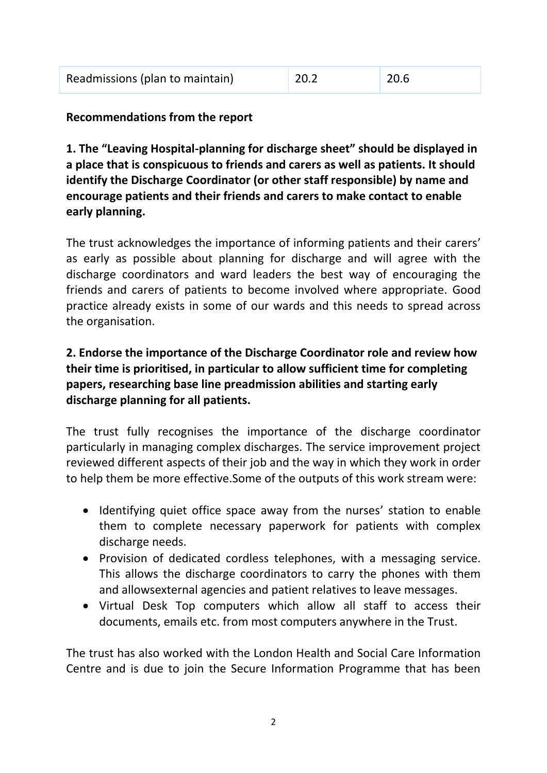| Readmissions (plan to maintain) | $\vert$ 20.2 | 20.6 |  |
|---------------------------------|--------------|------|--|
|---------------------------------|--------------|------|--|

#### **Recommendations from the report**

**1. The "Leaving Hospital-planning for discharge sheet" should be displayed in a place that is conspicuous to friends and carers as well as patients. It should identify the Discharge Coordinator (or other staff responsible) by name and encourage patients and their friends and carers to make contact to enable early planning.** 

The trust acknowledges the importance of informing patients and their carers' as early as possible about planning for discharge and will agree with the discharge coordinators and ward leaders the best way of encouraging the friends and carers of patients to become involved where appropriate. Good practice already exists in some of our wards and this needs to spread across the organisation.

## **2. Endorse the importance of the Discharge Coordinator role and review how their time is prioritised, in particular to allow sufficient time for completing papers, researching base line preadmission abilities and starting early discharge planning for all patients.**

The trust fully recognises the importance of the discharge coordinator particularly in managing complex discharges. The service improvement project reviewed different aspects of their job and the way in which they work in order to help them be more effective.Some of the outputs of this work stream were:

- Identifying quiet office space away from the nurses' station to enable them to complete necessary paperwork for patients with complex discharge needs.
- Provision of dedicated cordless telephones, with a messaging service. This allows the discharge coordinators to carry the phones with them and allowsexternal agencies and patient relatives to leave messages.
- Virtual Desk Top computers which allow all staff to access their documents, emails etc. from most computers anywhere in the Trust.

The trust has also worked with the London Health and Social Care Information Centre and is due to join the Secure Information Programme that has been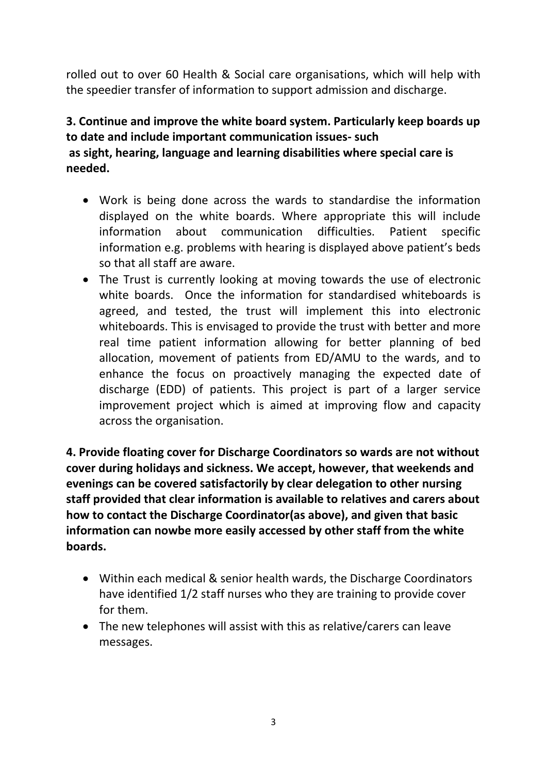rolled out to over 60 Health & Social care organisations, which will help with the speedier transfer of information to support admission and discharge.

# **3. Continue and improve the white board system. Particularly keep boards up to date and include important communication issues- such as sight, hearing, language and learning disabilities where special care is needed.**

- Work is being done across the wards to standardise the information displayed on the white boards. Where appropriate this will include information about communication difficulties. Patient specific information e.g. problems with hearing is displayed above patient's beds so that all staff are aware.
- The Trust is currently looking at moving towards the use of electronic white boards. Once the information for standardised whiteboards is agreed, and tested, the trust will implement this into electronic whiteboards. This is envisaged to provide the trust with better and more real time patient information allowing for better planning of bed allocation, movement of patients from ED/AMU to the wards, and to enhance the focus on proactively managing the expected date of discharge (EDD) of patients. This project is part of a larger service improvement project which is aimed at improving flow and capacity across the organisation.

**4. Provide floating cover for Discharge Coordinators so wards are not without cover during holidays and sickness. We accept, however, that weekends and evenings can be covered satisfactorily by clear delegation to other nursing staff provided that clear information is available to relatives and carers about how to contact the Discharge Coordinator(as above), and given that basic information can nowbe more easily accessed by other staff from the white boards.** 

- Within each medical & senior health wards, the Discharge Coordinators have identified 1/2 staff nurses who they are training to provide cover for them.
- The new telephones will assist with this as relative/carers can leave messages.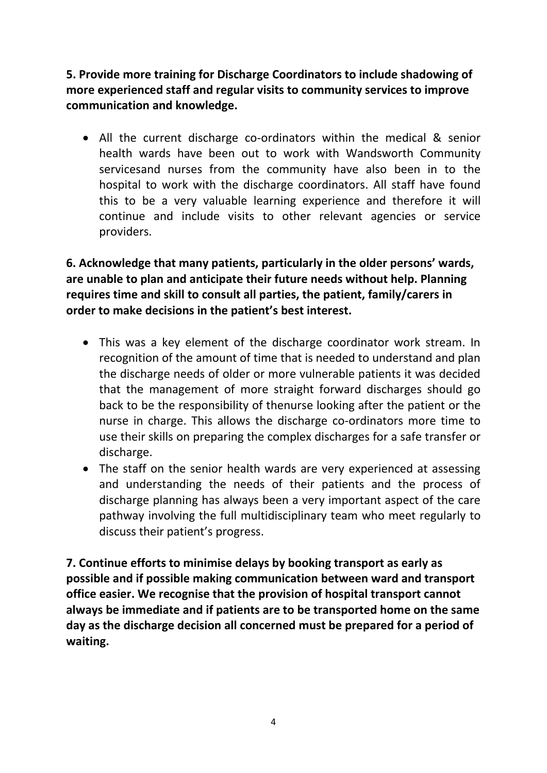**5. Provide more training for Discharge Coordinators to include shadowing of more experienced staff and regular visits to community services to improve communication and knowledge.** 

 All the current discharge co-ordinators within the medical & senior health wards have been out to work with Wandsworth Community servicesand nurses from the community have also been in to the hospital to work with the discharge coordinators. All staff have found this to be a very valuable learning experience and therefore it will continue and include visits to other relevant agencies or service providers.

**6. Acknowledge that many patients, particularly in the older persons' wards, are unable to plan and anticipate their future needs without help. Planning requires time and skill to consult all parties, the patient, family/carers in order to make decisions in the patient's best interest.** 

- This was a key element of the discharge coordinator work stream. In recognition of the amount of time that is needed to understand and plan the discharge needs of older or more vulnerable patients it was decided that the management of more straight forward discharges should go back to be the responsibility of thenurse looking after the patient or the nurse in charge. This allows the discharge co-ordinators more time to use their skills on preparing the complex discharges for a safe transfer or discharge.
- The staff on the senior health wards are very experienced at assessing and understanding the needs of their patients and the process of discharge planning has always been a very important aspect of the care pathway involving the full multidisciplinary team who meet regularly to discuss their patient's progress.

**7. Continue efforts to minimise delays by booking transport as early as possible and if possible making communication between ward and transport office easier. We recognise that the provision of hospital transport cannot always be immediate and if patients are to be transported home on the same day as the discharge decision all concerned must be prepared for a period of waiting.**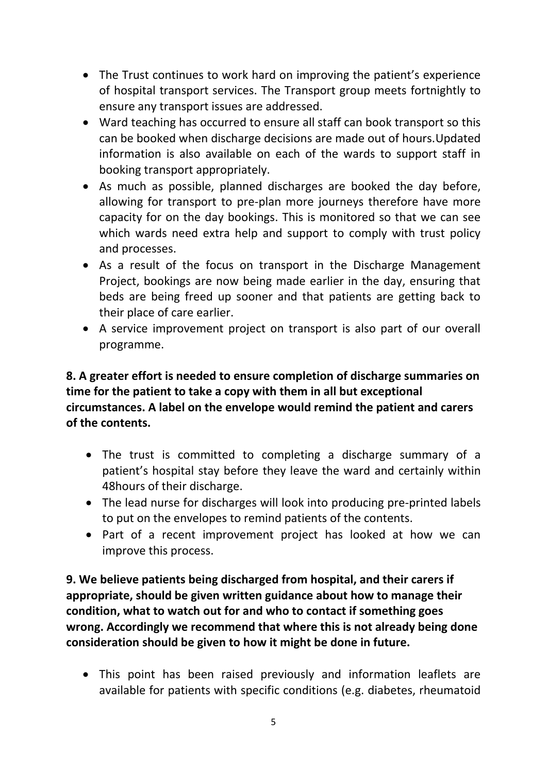- The Trust continues to work hard on improving the patient's experience of hospital transport services. The Transport group meets fortnightly to ensure any transport issues are addressed.
- Ward teaching has occurred to ensure all staff can book transport so this can be booked when discharge decisions are made out of hours.Updated information is also available on each of the wards to support staff in booking transport appropriately.
- As much as possible, planned discharges are booked the day before, allowing for transport to pre-plan more journeys therefore have more capacity for on the day bookings. This is monitored so that we can see which wards need extra help and support to comply with trust policy and processes.
- As a result of the focus on transport in the Discharge Management Project, bookings are now being made earlier in the day, ensuring that beds are being freed up sooner and that patients are getting back to their place of care earlier.
- A service improvement project on transport is also part of our overall programme.

# **8. A greater effort is needed to ensure completion of discharge summaries on time for the patient to take a copy with them in all but exceptional circumstances. A label on the envelope would remind the patient and carers of the contents.**

- The trust is committed to completing a discharge summary of a patient's hospital stay before they leave the ward and certainly within 48hours of their discharge.
- The lead nurse for discharges will look into producing pre-printed labels to put on the envelopes to remind patients of the contents.
- Part of a recent improvement project has looked at how we can improve this process.

**9. We believe patients being discharged from hospital, and their carers if appropriate, should be given written guidance about how to manage their condition, what to watch out for and who to contact if something goes wrong. Accordingly we recommend that where this is not already being done consideration should be given to how it might be done in future.** 

 This point has been raised previously and information leaflets are available for patients with specific conditions (e.g. diabetes, rheumatoid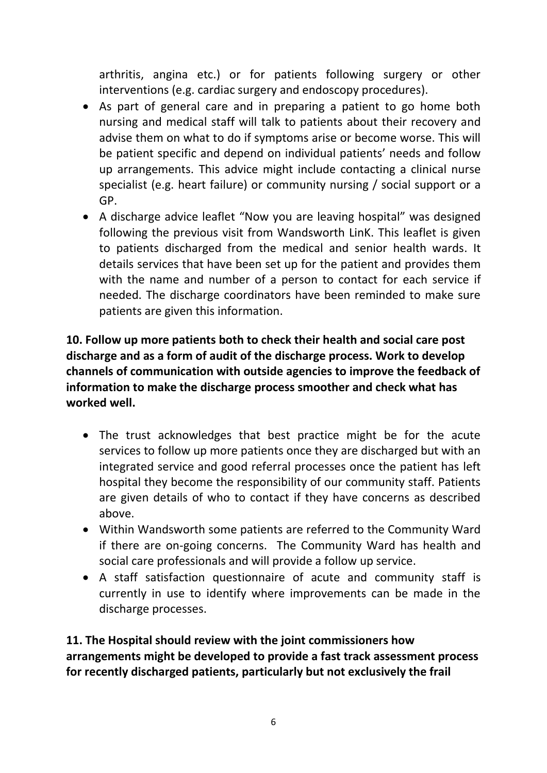arthritis, angina etc.) or for patients following surgery or other interventions (e.g. cardiac surgery and endoscopy procedures).

- As part of general care and in preparing a patient to go home both nursing and medical staff will talk to patients about their recovery and advise them on what to do if symptoms arise or become worse. This will be patient specific and depend on individual patients' needs and follow up arrangements. This advice might include contacting a clinical nurse specialist (e.g. heart failure) or community nursing / social support or a GP.
- A discharge advice leaflet "Now you are leaving hospital" was designed following the previous visit from Wandsworth LinK. This leaflet is given to patients discharged from the medical and senior health wards. It details services that have been set up for the patient and provides them with the name and number of a person to contact for each service if needed. The discharge coordinators have been reminded to make sure patients are given this information.

**10. Follow up more patients both to check their health and social care post discharge and as a form of audit of the discharge process. Work to develop channels of communication with outside agencies to improve the feedback of information to make the discharge process smoother and check what has worked well.** 

- The trust acknowledges that best practice might be for the acute services to follow up more patients once they are discharged but with an integrated service and good referral processes once the patient has left hospital they become the responsibility of our community staff. Patients are given details of who to contact if they have concerns as described above.
- Within Wandsworth some patients are referred to the Community Ward if there are on-going concerns. The Community Ward has health and social care professionals and will provide a follow up service.
- A staff satisfaction questionnaire of acute and community staff is currently in use to identify where improvements can be made in the discharge processes.

**11. The Hospital should review with the joint commissioners how arrangements might be developed to provide a fast track assessment process for recently discharged patients, particularly but not exclusively the frail**